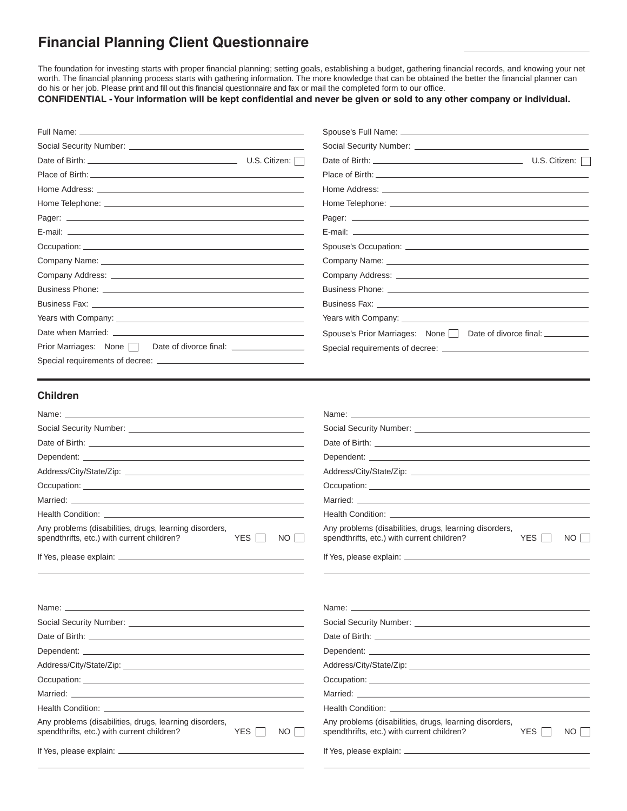# **Financial Planning Client Questionnaire**

The foundation for investing starts with proper financial planning; setting goals, establishing a budget, gathering financial records, and knowing your net worth. The financial planning process starts with gathering information. The more knowledge that can be obtained the better the financial planner can do his or her job. Please print and fill out this financial questionnaire and fax or mail the completed form to our office.

**CONFIDENTIAL -Your information will be kept confidential and never be given or sold to any other company or individual.**

| Full Name: __                                                                                                                                                                                                                  |                        |                                                                                                                                                                                                                                      |                 |      |
|--------------------------------------------------------------------------------------------------------------------------------------------------------------------------------------------------------------------------------|------------------------|--------------------------------------------------------------------------------------------------------------------------------------------------------------------------------------------------------------------------------------|-----------------|------|
|                                                                                                                                                                                                                                |                        |                                                                                                                                                                                                                                      |                 |      |
|                                                                                                                                                                                                                                |                        |                                                                                                                                                                                                                                      |                 |      |
|                                                                                                                                                                                                                                |                        |                                                                                                                                                                                                                                      |                 |      |
|                                                                                                                                                                                                                                |                        |                                                                                                                                                                                                                                      |                 |      |
|                                                                                                                                                                                                                                |                        |                                                                                                                                                                                                                                      |                 |      |
|                                                                                                                                                                                                                                |                        |                                                                                                                                                                                                                                      |                 |      |
|                                                                                                                                                                                                                                |                        |                                                                                                                                                                                                                                      |                 |      |
|                                                                                                                                                                                                                                |                        |                                                                                                                                                                                                                                      |                 |      |
|                                                                                                                                                                                                                                |                        |                                                                                                                                                                                                                                      |                 |      |
|                                                                                                                                                                                                                                |                        |                                                                                                                                                                                                                                      |                 |      |
|                                                                                                                                                                                                                                |                        |                                                                                                                                                                                                                                      |                 |      |
|                                                                                                                                                                                                                                |                        | Business Fax: North Management Control of the Control of the Control of the Control of the Control of the Control of the Control of the Control of the Control of the Control of the Control of the Control of the Control of        |                 |      |
|                                                                                                                                                                                                                                |                        |                                                                                                                                                                                                                                      |                 |      |
|                                                                                                                                                                                                                                |                        | Spouse's Prior Marriages: None Date of divorce final: _________                                                                                                                                                                      |                 |      |
| Prior Marriages: None   Date of divorce final: _________________                                                                                                                                                               |                        |                                                                                                                                                                                                                                      |                 |      |
|                                                                                                                                                                                                                                |                        |                                                                                                                                                                                                                                      |                 |      |
|                                                                                                                                                                                                                                |                        |                                                                                                                                                                                                                                      |                 |      |
| <b>Children</b>                                                                                                                                                                                                                |                        |                                                                                                                                                                                                                                      |                 |      |
|                                                                                                                                                                                                                                |                        | Name: <u>example and the set of the set of the set of the set of the set of the set of the set of the set of the set of the set of the set of the set of the set of the set of the set of the set of the set of the set of the s</u> |                 |      |
|                                                                                                                                                                                                                                |                        |                                                                                                                                                                                                                                      |                 |      |
|                                                                                                                                                                                                                                |                        |                                                                                                                                                                                                                                      |                 |      |
|                                                                                                                                                                                                                                |                        |                                                                                                                                                                                                                                      |                 |      |
|                                                                                                                                                                                                                                |                        |                                                                                                                                                                                                                                      |                 |      |
|                                                                                                                                                                                                                                |                        |                                                                                                                                                                                                                                      |                 |      |
|                                                                                                                                                                                                                                |                        |                                                                                                                                                                                                                                      |                 |      |
|                                                                                                                                                                                                                                |                        |                                                                                                                                                                                                                                      |                 |      |
| Any problems (disabilities, drugs, learning disorders,<br>spendthrifts, etc.) with current children?                                                                                                                           | YES $\Box$<br>NO       | Any problems (disabilities, drugs, learning disorders,<br>spendthrifts, etc.) with current children?                                                                                                                                 | YES  <br>$\sim$ | NO   |
|                                                                                                                                                                                                                                |                        |                                                                                                                                                                                                                                      |                 |      |
|                                                                                                                                                                                                                                |                        |                                                                                                                                                                                                                                      |                 |      |
| Name: will be a series of the contract of the contract of the contract of the contract of the contract of the contract of the contract of the contract of the contract of the contract of the contract of the contract of the  |                        | Name: will be a series of the contract of the contract of the contract of the contract of the contract of the contract of the contract of the contract of the contract of the contract of the contract of the contract of the        |                 |      |
| Social Security Number: Social Security Number:                                                                                                                                                                                |                        |                                                                                                                                                                                                                                      |                 |      |
| Date of Birth: North State of Birth: North State of Birth: North State of Birth: North State of Birth: North State of Birth: North State of Birth: North State of Birth: North State of Birth: North State of Birth: North Sta |                        | Date of Birth: example and a series of the series of the series of the series of the series of the series of the series of the series of the series of the series of the series of the series of the series of the series of t       |                 |      |
|                                                                                                                                                                                                                                |                        |                                                                                                                                                                                                                                      |                 |      |
|                                                                                                                                                                                                                                |                        |                                                                                                                                                                                                                                      |                 |      |
|                                                                                                                                                                                                                                |                        |                                                                                                                                                                                                                                      |                 |      |
|                                                                                                                                                                                                                                |                        | Married: with a state of the contract of the contract of the contract of the contract of the contract of the contract of the contract of the contract of the contract of the contract of the contract of the contract of the c       |                 |      |
|                                                                                                                                                                                                                                |                        |                                                                                                                                                                                                                                      |                 |      |
| Any problems (disabilities, drugs, learning disorders,<br>spendthrifts, etc.) with current children?                                                                                                                           | YES $\Box$<br>$NO$ $ $ | Any problems (disabilities, drugs, learning disorders,<br>spendthrifts, etc.) with current children?                                                                                                                                 | YES             | NO I |
|                                                                                                                                                                                                                                |                        |                                                                                                                                                                                                                                      |                 |      |
|                                                                                                                                                                                                                                |                        |                                                                                                                                                                                                                                      |                 |      |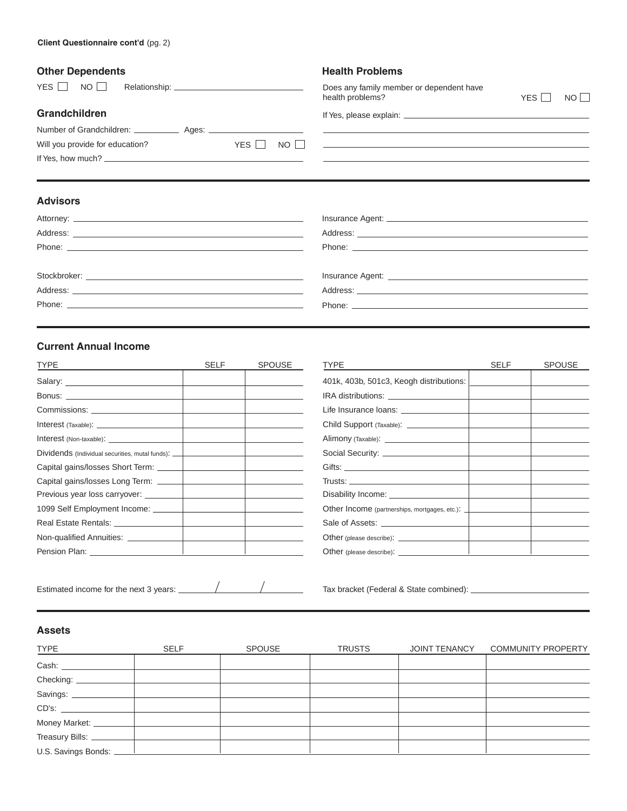| omar pepenaento |                      |  |
|-----------------|----------------------|--|
|                 | YES NO Relationship: |  |
|                 |                      |  |

# **Grandchildren**

| Number of Grandchildren: ____________ | Ages: _______ |             |  |
|---------------------------------------|---------------|-------------|--|
| Will you provide for education?       |               | YES I NO II |  |
| If Yes, how much?                     |               |             |  |

# **Advisors**

| AUVISUI 5                                                                                                                                                                                                                            |                                                                                                                                                                                                                                      |
|--------------------------------------------------------------------------------------------------------------------------------------------------------------------------------------------------------------------------------------|--------------------------------------------------------------------------------------------------------------------------------------------------------------------------------------------------------------------------------------|
|                                                                                                                                                                                                                                      |                                                                                                                                                                                                                                      |
|                                                                                                                                                                                                                                      |                                                                                                                                                                                                                                      |
| Phone: <u>Andrea Barbara and American and American and American and American and American and American and American and American and American and American and American and American and American and American and American and </u> |                                                                                                                                                                                                                                      |
|                                                                                                                                                                                                                                      |                                                                                                                                                                                                                                      |
|                                                                                                                                                                                                                                      | Insurance Agent: <b>All Access and Access and Access and Access and Access and Access and Access and Access and Access and Access and Access and Access and Access and Access and Access and Access and Access and Access and Ac</b> |
|                                                                                                                                                                                                                                      |                                                                                                                                                                                                                                      |
| Phone: <u>Andrea Maria and American and American and American and American and American and American and American and American and American and American and American and American and American and American and American and Am</u> |                                                                                                                                                                                                                                      |

# **Current Annual Income**

| <b>TYPE</b>                                                                      | <b>SELF</b> | SPOUSE |
|----------------------------------------------------------------------------------|-------------|--------|
|                                                                                  |             |        |
|                                                                                  |             |        |
|                                                                                  |             |        |
|                                                                                  |             |        |
|                                                                                  |             |        |
| Dividends (Individual securities, mutal funds): ________________________________ |             |        |
|                                                                                  |             |        |
|                                                                                  |             |        |
|                                                                                  |             |        |
|                                                                                  |             |        |
|                                                                                  |             |        |
|                                                                                  |             |        |
|                                                                                  |             |        |

| <b>TYPE</b>                                     | <b>SELF</b> | <b>SPOUSE</b> |
|-------------------------------------------------|-------------|---------------|
| 401k, 403b, 501c3, Keogh distributions:         |             |               |
|                                                 |             |               |
|                                                 |             |               |
|                                                 |             |               |
|                                                 |             |               |
|                                                 |             |               |
|                                                 |             |               |
|                                                 |             |               |
|                                                 |             |               |
| Other Income (partnerships, mortgages, etc.): \ |             |               |
|                                                 |             |               |
|                                                 |             |               |
|                                                 |             |               |

Estimated income for the next 3 years: Tax bracket (Federal & State combined):

# **Assets**

| <b>TYPE</b>             | <b>SELF</b> | SPOUSE | <b>TRUSTS</b> | JOINT TENANCY | <b>COMMUNITY PROPERTY</b> |
|-------------------------|-------------|--------|---------------|---------------|---------------------------|
| Cash:                   |             |        |               |               |                           |
| Checking:               |             |        |               |               |                           |
| Savings:                |             |        |               |               |                           |
|                         |             |        |               |               |                           |
| Money Market: _________ |             |        |               |               |                           |
| Treasury Bills: ____    |             |        |               |               |                           |
| U.S. Savings Bonds:     |             |        |               |               |                           |

If Yes, please explain:

health problems? YES NO

<u> 1989 - Johann Barbara, martxa al III-lea (h. 1989).</u>

<u> 1980 - Johann Barbara, martxa alemaniar amerikan a</u>

Does any family member or dependent have

| <b>TYPE</b>                                                                                                                                                                                                                                                                                                   | SELF | <b>SPOUSE</b> |
|---------------------------------------------------------------------------------------------------------------------------------------------------------------------------------------------------------------------------------------------------------------------------------------------------------------|------|---------------|
| 401k, 403b, 501c3, Keogh distributions: [                                                                                                                                                                                                                                                                     |      |               |
|                                                                                                                                                                                                                                                                                                               |      |               |
|                                                                                                                                                                                                                                                                                                               |      |               |
|                                                                                                                                                                                                                                                                                                               |      |               |
|                                                                                                                                                                                                                                                                                                               |      |               |
|                                                                                                                                                                                                                                                                                                               |      |               |
|                                                                                                                                                                                                                                                                                                               |      |               |
|                                                                                                                                                                                                                                                                                                               |      |               |
|                                                                                                                                                                                                                                                                                                               |      |               |
|                                                                                                                                                                                                                                                                                                               |      |               |
|                                                                                                                                                                                                                                                                                                               |      |               |
| Trusts: The contract of the contract of the contract of the contract of the contract of the contract of the contract of the contract of the contract of the contract of the contract of the contract of the contract of the co<br>Other Income (partnerships, mortgages, etc.): \\essequentilation of the MCO |      |               |
|                                                                                                                                                                                                                                                                                                               |      |               |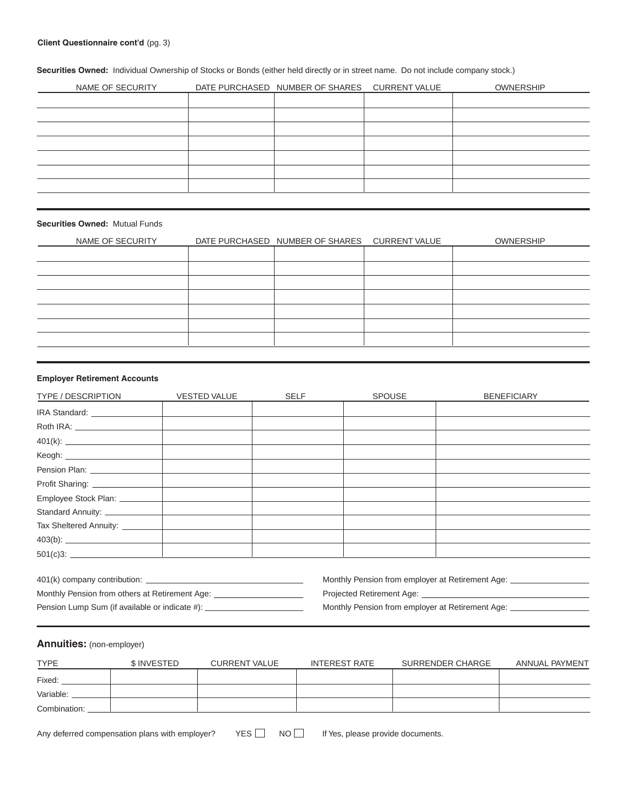**Securities Owned:** Individual Ownership of Stocks or Bonds (either held directly or in street name. Do not include company stock.)

| NAME OF SECURITY | DATE PURCHASED NUMBER OF SHARES CURRENT VALUE | <b>OWNERSHIP</b> |
|------------------|-----------------------------------------------|------------------|
|                  |                                               |                  |
|                  |                                               |                  |
|                  |                                               |                  |
|                  |                                               |                  |
|                  |                                               |                  |
|                  |                                               |                  |
|                  |                                               |                  |
|                  |                                               |                  |

#### **Securities Owned:** Mutual Funds

| NAME OF SECURITY | DATE PURCHASED NUMBER OF SHARES CURRENT VALUE | <b>OWNERSHIP</b> |
|------------------|-----------------------------------------------|------------------|
|                  |                                               |                  |
|                  |                                               |                  |
|                  |                                               |                  |
|                  |                                               |                  |
|                  |                                               |                  |
|                  |                                               |                  |
|                  |                                               |                  |
|                  |                                               |                  |

#### **Employer Retirement Accounts**

| TYPE / DESCRIPTION              | <b>VESTED VALUE</b> | <b>SELF</b> | <b>SPOUSE</b> | <b>BENEFICIARY</b> |
|---------------------------------|---------------------|-------------|---------------|--------------------|
| IRA Standard: ____________      |                     |             |               |                    |
| Roth IRA: _____________________ |                     |             |               |                    |
|                                 |                     |             |               |                    |
|                                 |                     |             |               |                    |
| Pension Plan: ________________  |                     |             |               |                    |
|                                 |                     |             |               |                    |
|                                 |                     |             |               |                    |
|                                 |                     |             |               |                    |
|                                 |                     |             |               |                    |
|                                 |                     |             |               |                    |
|                                 |                     |             |               |                    |

| 401(k) company contribution:                                                                                                             |
|------------------------------------------------------------------------------------------------------------------------------------------|
| Monthly Pension from others at Retirement Age:                                                                                           |
| $\mathbf{D}$ and the set of $\mathbf{D}$ and $\mathbf{D}$ are the set of $\mathbf{D}$ and $\mathbf{D}$ and $\mathbf{D}$ and $\mathbf{D}$ |

Monthly Pension from employer at Retirement Age: \_\_\_\_\_\_\_\_\_\_\_\_\_\_\_\_\_\_\_\_\_\_\_\_\_\_\_\_\_\_\_

Projected Retirement Age: \_

Pension Lump Sum (if available or indicate #): \_\_\_\_\_\_\_\_\_\_\_\_\_\_\_\_\_\_\_\_\_\_\_\_\_\_\_\_\_\_\_\_\_ Monthly Pension from employer at Retirement Age: \_\_\_\_\_\_\_\_\_\_\_\_\_\_

# **Annuities:** (non-employer)

| <b>TYPE</b>  | \$ INVESTED | <b>CURRENT VALUE</b> | INTEREST RATE | SURRENDER CHARGE | ANNUAL PAYMENT |
|--------------|-------------|----------------------|---------------|------------------|----------------|
| Fixed:       |             |                      |               |                  |                |
| Variable:    |             |                      |               |                  |                |
| Combination: |             |                      |               |                  |                |

Any deferred compensation plans with employer?  $YES \Box \quad NO \Box$  If Yes, please provide documents.

 $YES$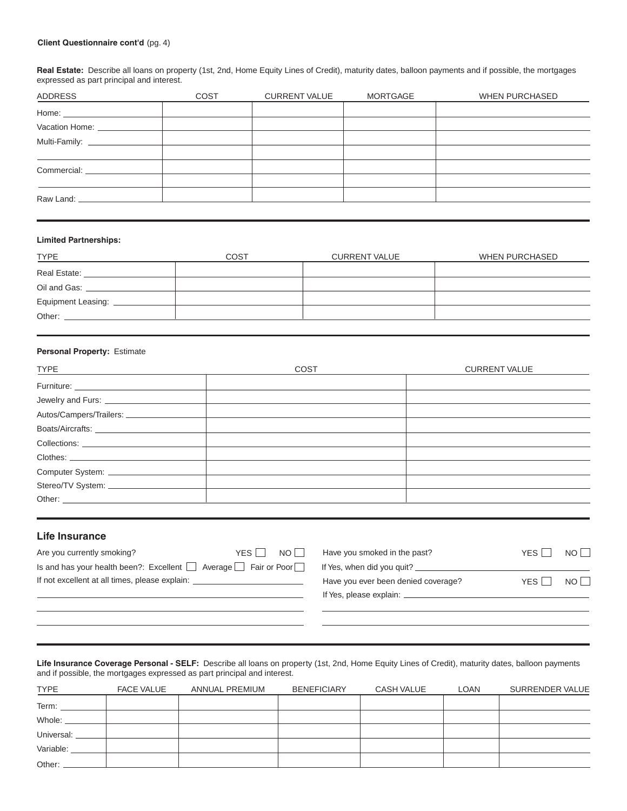#### **Client Questionnaire cont'd** (pg. 4)

**Real Estate:** Describe all loans on property (1st, 2nd, Home Equity Lines of Credit), maturity dates, balloon payments and if possible, the mortgages expressed as part principal and interest.

| ADDRESS                     | <b>COST</b> | <b>CURRENT VALUE</b> | MORTGAGE | <b>WHEN PURCHASED</b> |
|-----------------------------|-------------|----------------------|----------|-----------------------|
| Home: $\qquad \qquad$       |             |                      |          |                       |
|                             |             |                      |          |                       |
|                             |             |                      |          |                       |
|                             |             |                      |          |                       |
| Commercial: _______________ |             |                      |          |                       |
|                             |             |                      |          |                       |
|                             |             |                      |          |                       |
|                             |             |                      |          |                       |

#### **Limited Partnerships:**

| TYPE                 | COST | <b>CURRENT VALUE</b> | WHEN PURCHASED |
|----------------------|------|----------------------|----------------|
| Real Estate:         |      |                      |                |
| Oil and Gas:         |      |                      |                |
| Equipment Leasing: _ |      |                      |                |
| Other:               |      |                      |                |
|                      |      |                      |                |

#### **Personal Property:** Estimate

| <u>TYPE _________________________</u>                                                                                                                                                                                         | <b>COST</b> | <b>CURRENT VALUE</b> |
|-------------------------------------------------------------------------------------------------------------------------------------------------------------------------------------------------------------------------------|-------------|----------------------|
| Furniture: _________________                                                                                                                                                                                                  |             |                      |
| Jewelry and Furs: _______________                                                                                                                                                                                             |             |                      |
|                                                                                                                                                                                                                               |             |                      |
|                                                                                                                                                                                                                               |             |                      |
| Collections: The collections of the collections of the collections of the collections of the collections of the collections of the collections of the collections of the collections of the collections of the collections of |             |                      |
|                                                                                                                                                                                                                               |             |                      |
| Computer System: ______________                                                                                                                                                                                               |             |                      |
| Stereo/TV System: ______________                                                                                                                                                                                              |             |                      |
| Other: and the contract of the contract of the contract of the contract of the contract of the contract of the                                                                                                                |             |                      |

# **Life Insurance**

| Are you currently smoking?                                                                   | YFS L | $NO \mid$ | Have you smoked in the past?        |
|----------------------------------------------------------------------------------------------|-------|-----------|-------------------------------------|
| Is and has your health been?: Excellent $\vert$ $\vert$ Average $\vert$ Fair or Poor $\vert$ |       |           | If Yes, when did you quit?          |
| If not excellent at all times, please explain:                                               |       |           | Have you ever been denied coverage? |
|                                                                                              |       |           | If Yon planne ovplain:              |

| YES I I<br>NO <sub>1</sub> | Have you smoked in the past?         | YFS I | $NO$   |
|----------------------------|--------------------------------------|-------|--------|
| Fair or Poor               | If Yes, when did you quit?           |       |        |
|                            | Have you ever been denied coverage?  | YES I | NO I I |
|                            | If Yes, please explain: ____________ |       |        |

**Life Insurance Coverage Personal - SELF:** Describe all loans on property (1st, 2nd, Home Equity Lines of Credit), maturity dates, balloon payments and if possible, the mortgages expressed as part principal and interest.

| <b>TYPE</b> | <b>FACE VALUE</b> | ANNUAL PREMIUM | <b>BENEFICIARY</b> | CASH VALUE | <b>LOAN</b> | SURRENDER VALUE |
|-------------|-------------------|----------------|--------------------|------------|-------------|-----------------|
| Term:       |                   |                |                    |            |             |                 |
| Whole:      |                   |                |                    |            |             |                 |
| Universal:  |                   |                |                    |            |             |                 |
| Variable:   |                   |                |                    |            |             |                 |
| Other:      |                   |                |                    |            |             |                 |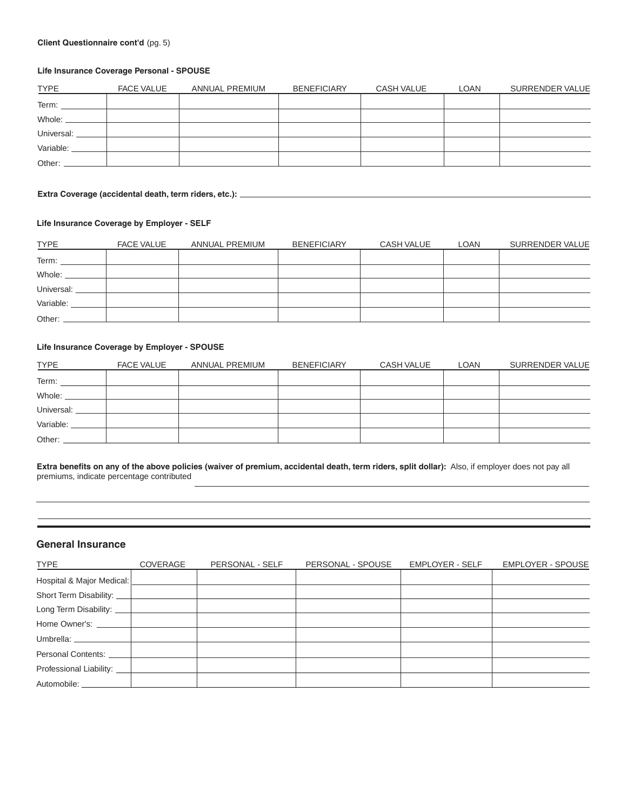#### **Client Questionnaire cont'd** (pg. 5)

#### **Life Insurance Coverage Personal - SPOUSE**

| <b>TYPE</b> | <b>FACE VALUE</b> | ANNUAL PREMIUM | <b>BENEFICIARY</b> | CASH VALUE | <b>LOAN</b> | SURRENDER VALUE |
|-------------|-------------------|----------------|--------------------|------------|-------------|-----------------|
| Term:       |                   |                |                    |            |             |                 |
| Whole:      |                   |                |                    |            |             |                 |
| Universal:  |                   |                |                    |            |             |                 |
| Variable:   |                   |                |                    |            |             |                 |
| Other:      |                   |                |                    |            |             |                 |

### **Extra Coverage (accidental death, term riders, etc.):**

#### **Life Insurance Coverage by Employer - SELF**

| <b>TYPE</b> | <b>FACE VALUE</b> | ANNUAL PREMIUM | <b>BENEFICIARY</b> | <b>CASH VALUE</b> | <b>LOAN</b> | SURRENDER VALUE |
|-------------|-------------------|----------------|--------------------|-------------------|-------------|-----------------|
| Term:       |                   |                |                    |                   |             |                 |
| Whole:      |                   |                |                    |                   |             |                 |
| Universal:  |                   |                |                    |                   |             |                 |
| Variable:   |                   |                |                    |                   |             |                 |
| Other:      |                   |                |                    |                   |             |                 |

#### **Life Insurance Coverage by Employer - SPOUSE**

| <b>TYPE</b> | <b>FACE VALUE</b> | ANNUAL PREMIUM | <b>BENEFICIARY</b> | CASH VALUE | LOAN | SURRENDER VALUE |
|-------------|-------------------|----------------|--------------------|------------|------|-----------------|
| Term:       |                   |                |                    |            |      |                 |
| Whole:      |                   |                |                    |            |      |                 |
| Universal:  |                   |                |                    |            |      |                 |
| Variable:   |                   |                |                    |            |      |                 |
| Other:      |                   |                |                    |            |      |                 |

Extra benefits on any of the above policies (waiver of premium, accidental death, term riders, split dollar): Also, if employer does not pay all premiums, indicate percentage contributed

# **General Insurance**

| <b>TYPE</b>               | COVERAGE | PERSONAL - SELF | PERSONAL - SPOUSE | <b>EMPLOYER - SELF</b> | <b>EMPLOYER - SPOUSE</b> |
|---------------------------|----------|-----------------|-------------------|------------------------|--------------------------|
| Hospital & Major Medical: |          |                 |                   |                        |                          |
| Short Term Disability:    |          |                 |                   |                        |                          |
| Long Term Disability:     |          |                 |                   |                        |                          |
| Home Owner's:             |          |                 |                   |                        |                          |
| Umbrella: ________        |          |                 |                   |                        |                          |
| Personal Contents:        |          |                 |                   |                        |                          |
| Professional Liability: _ |          |                 |                   |                        |                          |
| Automobile:               |          |                 |                   |                        |                          |